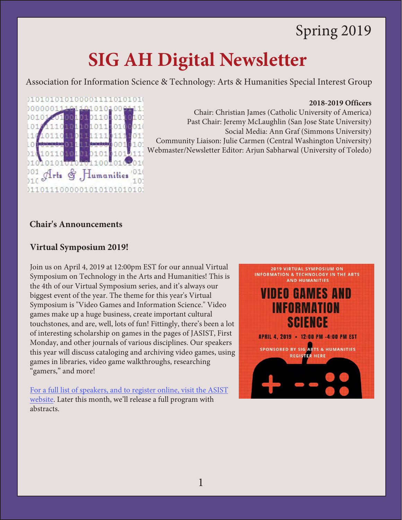# Spring 2019

# **SIG AH Digital Newsletter**

Association for Information Science & Technology: Arts & Humanities Special Interest Group

#### **2018-2019 Officers**



### **Chair's Announcements**

01010101010000111101010101

Arts & Humanities

0110111000001010101010101

10 10111010

1111

 $0010$ 

 $01^{\circ}$ 

1 D.

 $01($ 

 $10^{-1}$ 

 $111$ 

ΩO

 $_{0}$ 

 $11$ 

L0

 $01$  $01$ 

901

 $110$ 

10110

#### **Virtual Symposium 2019!**

Join us on April 4, 2019 at 12:00pm EST for our annual Virtual Symposium on Technology in the Arts and Humanities! This is the 4th of our Virtual Symposium series, and it's always our biggest event of the year. The theme for this year's Virtual Symposium is "Video Games and Information Science." Video games make up a huge business, create important cultural touchstones, and are, well, lots of fun! Fittingly, there's been a lot of interesting scholarship on games in the pages of JASIST, First Monday, and other journals of various disciplines. Our speakers this year will discuss cataloging and archiving video games, using games in libraries, video game walkthroughs, researching "gamers," and more!

[For a full list of speakers, and to register online, visit the ASIST](https://www.asist.org/events/webinars/2019-virtual-symposium-on-information-technology-in-the-arts-and-humanities-video-games-and-information-science/) [website.](https://www.asist.org/events/webinars/2019-virtual-symposium-on-information-technology-in-the-arts-and-humanities-video-games-and-information-science/) Later this month, we'll release a full program with abstracts.

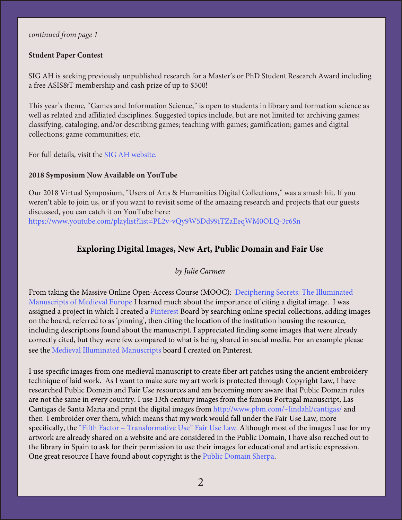#### *continued from page 1*

#### **Student Paper Contest**

SIG AH is seeking previously unpublished research for a Master's or PhD Student Research Award including a free ASIS&T membership and cash prize of up to \$500!

This year's theme, "Games and Information Science," is open to students in library and formation science as well as related and affiliated disciplines. Suggested topics include, but are not limited to: archiving games; classifying, cataloging, and/or describing games; teaching with games; gamification; games and digital collections; game communities; etc.

For full details, visit the [SIG AH website.](http://www.asis.org/SIG/SIGAH/)

#### **2018 Symposium Now Available on YouTube**

Our 2018 Virtual Symposium, "Users of Arts & Humanities Digital Collections," was a smash hit. If you weren't able to join us, or if you want to revisit some of the amazing research and projects that our guests [discussed, you can catch it on YouTube here:](https://www.youtube.com/playlist?list=PL2v-vQy9W5Dd99iTZaEeqWM0OLQ-3r6Sn)  https://www.youtube.com/playlist?list=PL2v-vQy9W5Dd99iTZaEeqWM0OLQ-3r6Sn

## **Exploring Digital Images, New Art, Public Domain and Fair Use**

#### *by Julie Carmen*

From taking the Massive Online Open-Access Course (MOOC): [Deciphering Secrets: The Illuminated](https://www.coursera.org/learn/medieval-europe)  [Manuscripts of Medieval Europe](https://www.coursera.org/learn/medieval-europe) I learned much about the importance of citing a digital image. I was assigned a project in which I created a [Pinterest](https://www.pinterest.com/jdcarmen/medieval-illuminated-manuscripts/) Board by searching online special collections, adding images on the board, referred to as 'pinning', then citing the location of the institution housing the resource, including descriptions found about the manuscript. I appreciated finding some images that were already correctly cited, but they were few compared to what is being shared in social media. For an example please see the [Medieval Illuminated Manuscripts](https://www.pinterest.com/jdcarmen/medieval-illuminated-manuscripts/) board I created on Pinterest.

I use specific images from one medieval manuscript to create fiber art patches using the ancient embroidery technique of laid work. As I want to make sure my art work is protected through Copyright Law, I have researched Public Domain and Fair Use resources and am becoming more aware that Public Domain rules are not the same in every country. I use 13th century images from the famous Portugal manuscript, Las Cantigas de Santa Maria and print the digital images from <http://www.pbm.com/~lindahl/cantigas/>and then I embroider over them, which means that my work would fall under the Fair Use Law, more specifically, the ["Fifth Factor – Transformative Use" Fair Use Law.](https://www.copyright.gov/fair-use/more-info.html) Although most of the images I use for my artwork are already shared on a website and are considered in the Public Domain, I have also reached out to the library in Spain to ask for their permission to use t[heir images for education](http://www.publicdomainsherpa.com/copyright-public-domain.html)al and artistic expression. One great resource I have found about copyright is the Public Domain Sherpa.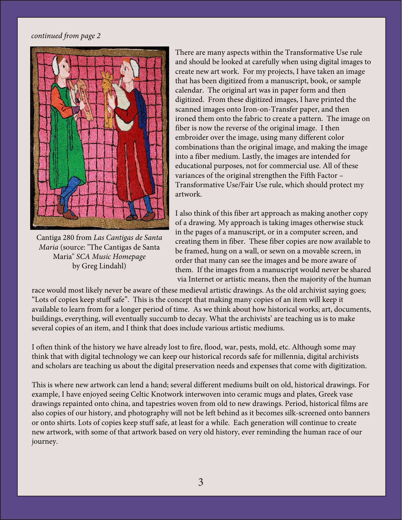#### *continued from page 2*



Cantiga 280 from *Las Cantigas de Santa Maria* (source: "The Cantigas de Santa Maria" *SCA Music Homepage* by Greg Lindahl)

There are many aspects within the Transformative Use rule and should be looked at carefully when using digital images to create new art work. For my projects, I have taken an image that has been digitized from a manuscript, book, or sample calendar. The original art was in paper form and then digitized. From these digitized images, I have printed the scanned images onto Iron-on-Transfer paper, and then ironed them onto the fabric to create a pattern. The image on fiber is now the reverse of the original image. I then embroider over the image, using many different color combinations than the original image, and making the image into a fiber medium. Lastly, the images are intended for educational purposes, not for commercial use. All of these variances of the original strengthen the Fifth Factor – Transformative Use/Fair Use rule, which should protect my artwork.

I also think of this fiber art approach as making another copy of a drawing. My approach is taking images otherwise stuck in the pages of a manuscript, or in a computer screen, and creating them in fiber. These fiber copies are now available to be framed, hung on a wall, or sewn on a movable screen, in order that many can see the images and be more aware of them. If the images from a manuscript would never be shared via Internet or artistic means, then the majority of the human

race would most likely never be aware of these medieval artistic drawings. As the old archivist saying goes; "Lots of copies keep stuff safe". This is the concept that making many copies of an item will keep it available to learn from for a longer period of time. As we think about how historical works; art, documents, buildings, everything, will eventually succumb to decay. What the archivists' are teaching us is to make several copies of an item, and I think that does include various artistic mediums.

I often think of the history we have already lost to fire, flood, war, pests, mold, etc. Although some may think that with digital technology we can keep our historical records safe for millennia, digital archivists and scholars are teaching us about the digital preservation needs and expenses that come with digitization.

This is where new artwork can lend a hand; several different mediums built on old, historical drawings. For example, I have enjoyed seeing Celtic Knotwork interwoven into ceramic mugs and plates, Greek vase drawings repainted onto china, and tapestries woven from old to new drawings. Period, historical films are also copies of our history, and photography will not be left behind as it becomes silk-screened onto banners or onto shirts. Lots of copies keep stuff safe, at least for a while. Each generation will continue to create new artwork, with some of that artwork based on very old history, ever reminding the human race of our journey.